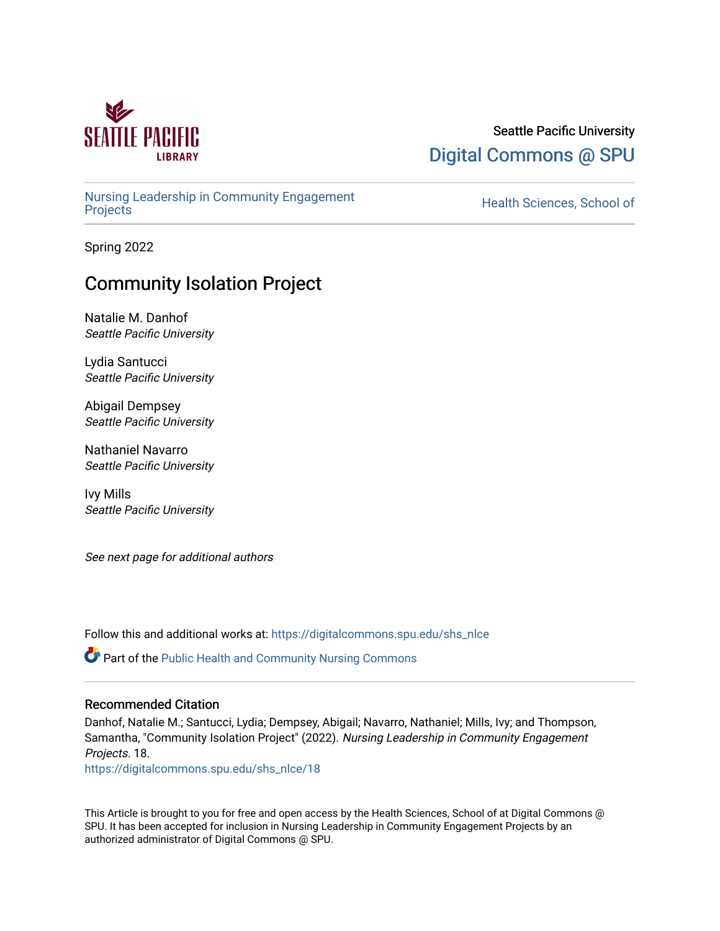

### Seattle Pacific University [Digital Commons @ SPU](https://digitalcommons.spu.edu/)

[Nursing Leadership in Community Engagement](https://digitalcommons.spu.edu/shs_nlce) 

Health Sciences, School of

Spring 2022

## Community Isolation Project

Natalie M. Danhof Seattle Pacific University

Lydia Santucci Seattle Pacific University

Abigail Dempsey Seattle Pacific University

Nathaniel Navarro Seattle Pacific University

Ivy Mills Seattle Pacific University

See next page for additional authors

Follow this and additional works at: [https://digitalcommons.spu.edu/shs\\_nlce](https://digitalcommons.spu.edu/shs_nlce?utm_source=digitalcommons.spu.edu%2Fshs_nlce%2F18&utm_medium=PDF&utm_campaign=PDFCoverPages)

Part of the [Public Health and Community Nursing Commons](https://network.bepress.com/hgg/discipline/725?utm_source=digitalcommons.spu.edu%2Fshs_nlce%2F18&utm_medium=PDF&utm_campaign=PDFCoverPages) 

#### Recommended Citation

Danhof, Natalie M.; Santucci, Lydia; Dempsey, Abigail; Navarro, Nathaniel; Mills, Ivy; and Thompson, Samantha, "Community Isolation Project" (2022). Nursing Leadership in Community Engagement Projects. 18.

[https://digitalcommons.spu.edu/shs\\_nlce/18](https://digitalcommons.spu.edu/shs_nlce/18?utm_source=digitalcommons.spu.edu%2Fshs_nlce%2F18&utm_medium=PDF&utm_campaign=PDFCoverPages) 

This Article is brought to you for free and open access by the Health Sciences, School of at Digital Commons @ SPU. It has been accepted for inclusion in Nursing Leadership in Community Engagement Projects by an authorized administrator of Digital Commons @ SPU.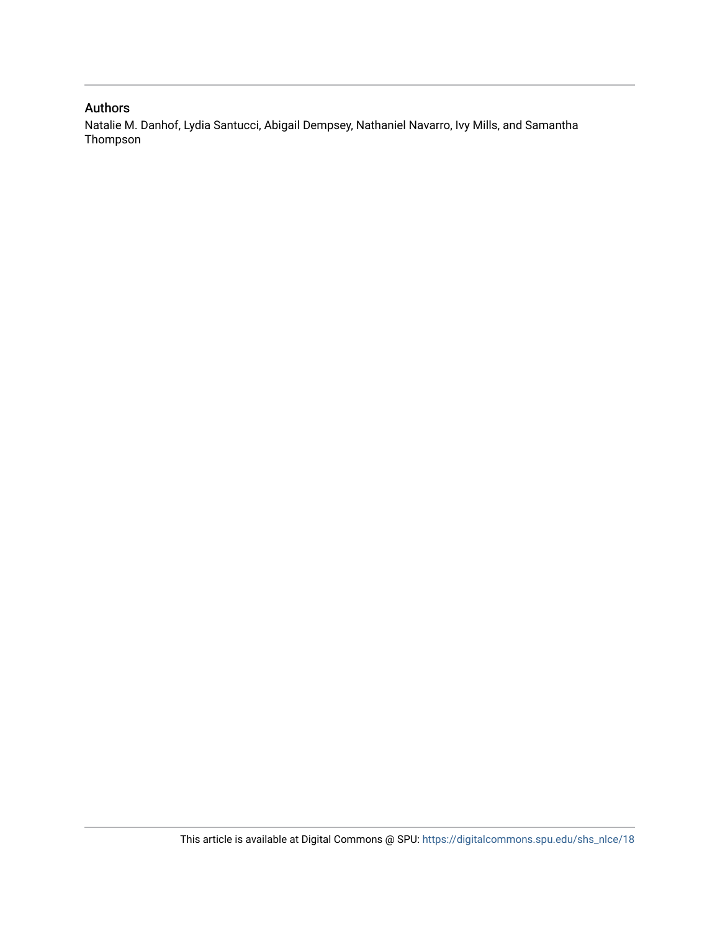### Authors

Natalie M. Danhof, Lydia Santucci, Abigail Dempsey, Nathaniel Navarro, Ivy Mills, and Samantha Thompson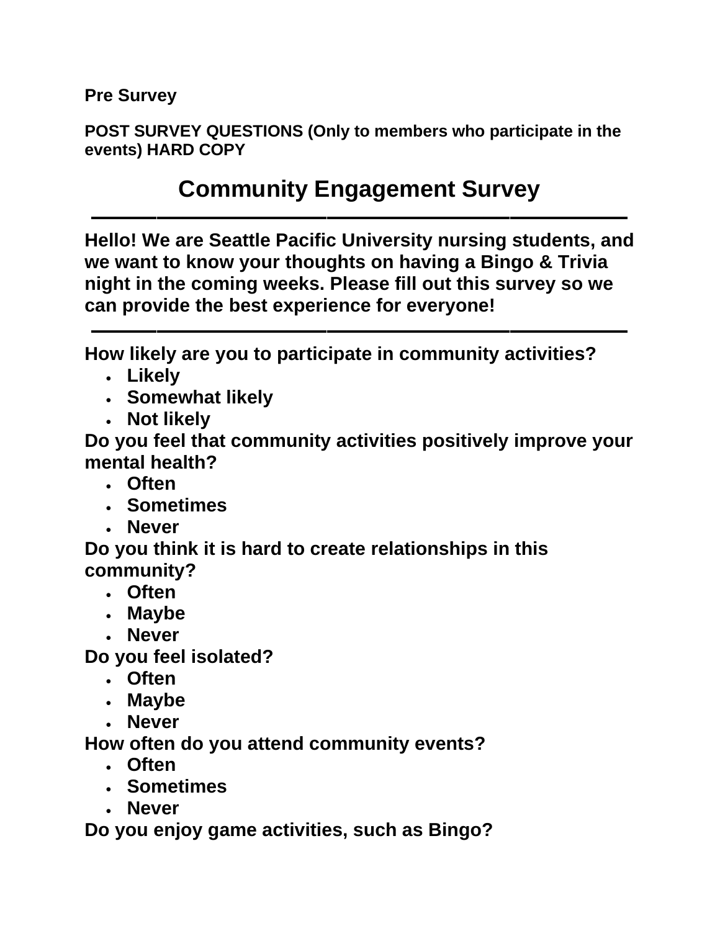**Pre Survey**

**POST SURVEY QUESTIONS (Only to members who participate in the events) HARD COPY**

## **Community Engagement Survey**

**––––––––––––––––––––––––––––––––––––––––– Hello! We are Seattle Pacific University nursing students, and we want to know your thoughts on having a Bingo & Trivia night in the coming weeks. Please fill out this survey so we can provide the best experience for everyone!**

**–––––––––––––––––––––––––––––––––––––––––**

**How likely are you to participate in community activities?**

- **Likely**
- **Somewhat likely**
- **Not likely**

**Do you feel that community activities positively improve your mental health?**

- **Often**
- **Sometimes**
- **Never**

**Do you think it is hard to create relationships in this community?**

- **Often**
- **Maybe**
- **Never**

**Do you feel isolated?**

- **Often**
- **Maybe**
- **Never**

**How often do you attend community events?**

- **Often**
- **Sometimes**
- **Never**

**Do you enjoy game activities, such as Bingo?**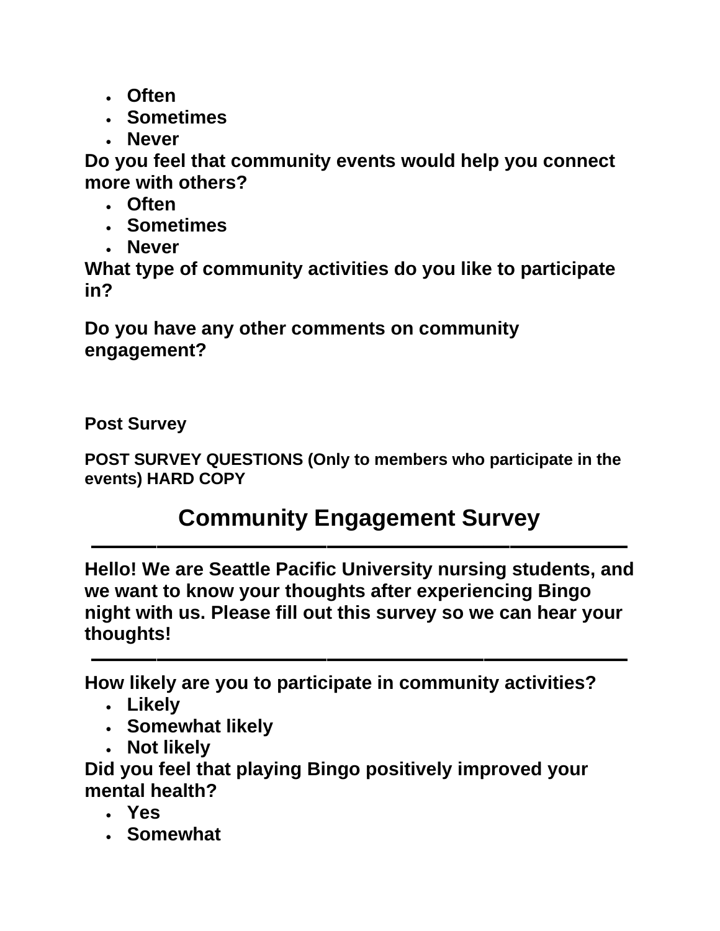- **Often**
- **Sometimes**
- **Never**

**Do you feel that community events would help you connect more with others?**

- **Often**
- **Sometimes**
- **Never**

**What type of community activities do you like to participate in?**

**Do you have any other comments on community engagement?**

**Post Survey**

**POST SURVEY QUESTIONS (Only to members who participate in the events) HARD COPY**

# **Community Engagement Survey**

**–––––––––––––––––––––––––––––––––––––––––**

**Hello! We are Seattle Pacific University nursing students, and we want to know your thoughts after experiencing Bingo night with us. Please fill out this survey so we can hear your thoughts!**

**–––––––––––––––––––––––––––––––––––––––––**

**How likely are you to participate in community activities?**

- **Likely**
- **Somewhat likely**
- **Not likely**

**Did you feel that playing Bingo positively improved your mental health?**

- **Yes**
- **Somewhat**